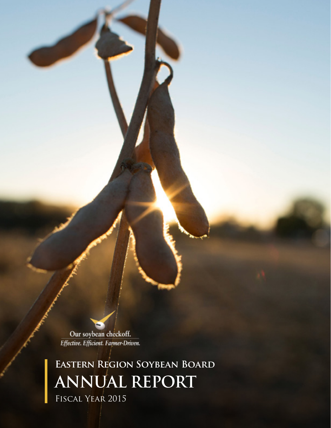Our soybean checkoff. Effective. Efficient. Farmer-Driven.

**Eastern Region Soybean Board ANNUAL REPORT** Fiscal Year 2015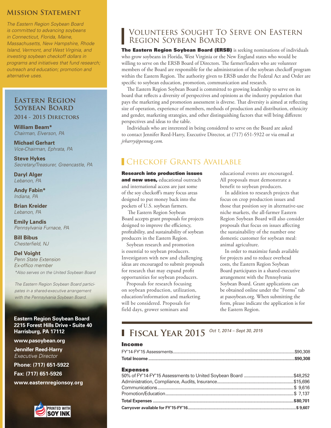### **Mission Statement**

*The Eastern Region Soybean Board is committed to advancing soybeans in Connecticut, Florida, Maine, Massachusetts, New Hampshire, Rhode Island, Vermont, and West Virginia, and investing soybean checkoff dollars in programs and initiatives that fund research; outreach and education; promotion and alternative uses.*

## **Eastern Region Soybean Board**

**2014 - 2015 Directors**

**William Beam\*** *Chairman, Elverson, PA*

**Michael Gerhart** *Vice-Chairman, Ephrata, PA*

**Steve Hykes** *Secretary/Treasurer, Greencastle, PA*

**Daryl Alger** *Lebanon, PA*

**Andy Fabin\*** *Indiana, PA*

**Brian Kreider** *Lebanon, PA*

**Emily Landis** *Pennsylvania Furnace, PA*

**Bill Bibus** *Chesterfield, NJ*

#### **Del Voight** *Penn State Extension Ex-offico member*

*\*Also serves on the United Soybean Board The Eastern Region Soybean Board partici-*

*pates in a shared-executive arrangement with the Pennsylvania Soybean Board.* 

**Eastern Region Soybean Board 2215 Forest Hills Drive • Suite 40 Harrisburg, PA 17112**

**www.pasoybean.org**

**Jennifer Reed-Harry**  *Executive Director*

**Phone: (717) 651-5922 Fax: (717) 651-5926**

**www.easternregionsoy.org**



## Volunteers Sought To Serve on Eastern Region Soybean Board

The Eastern Region Soybean Board (ERSB) is seeking nominations of individuals who grow soybeans in Florida, West Virginia or the New England states who would be willing to serve on the ERSB Board of Directors. The farmer/leaders who are volunteer members of the Board are responsible for the administration of the soybean checkoff program within the Eastern Region. The authority given to ERSB under the Federal Act and Order are specific to soybean education, promotion, communication and research.

The Eastern Region Soybean Board is committed to growing leadership to serve on its board that reflects a diversity of perspectives and opinions as the industry population that pays the marketing and promotion assessment is diverse. That diversity is aimed at reflecting size of operation, experience of members, methods of production and distribution, ethnicity and gender, marketing strategies, and other distinguishing factors that will bring different perspectives and ideas to the table.

Individuals who are interested in being considered to serve on the Board are asked to contact Jennifer Reed-Harry, Executive Director, at (717) 651-5922 or via email at *jrharry@pennag.com.* 

## **CHECKOFF GRANTS AVAILABLE**

Research into production issues and new uses, educational outreach and international access are just some of the soy checkoff's many focus areas designed to put money back into the pockets of U.S. soybean farmers.

 The Eastern Region Soybean Board accepts grant proposals for projects designed to improve the efficiency, profitability, and sustainability of soybean producers in the Eastern Region.

Soybean research and promotion is essential to soybean producers. Investigators with new and challenging ideas are encouraged to submit proposals for research that may expand profit opportunities for soybean producers.

Proposals for research focusing on soybean production, utilization, education/information and marketing will be considered. Proposals for field days, grower seminars and

educational events are encouraged. All proposals must demonstrate a benefit to soybean producers.

In addition to research projects that focus on crop production issues and those that position soy in alternative-use niche markets, the all-farmer Eastern Region Soybean Board will also consider proposals that focus on issues affecting the sustainability of the number one domestic customer for soybean meal: animal agriculture.

In order to maximize funds available for projects and to reduce overhead costs, the Eastern Region Soybean Board participates in a shared-executive arrangement with the Pennsylvania Soybean Board. Grant applications can be obtained online under the "Forms" tab at pasoybean.org. When submitting the form, please indicate the application is for the Eastern Region.

# **Fiscal Year 2015** *Oct 1, 2014 – Sept 30, 2015*

#### Income

| <b>Expenses</b> |  |
|-----------------|--|
|                 |  |
|                 |  |
|                 |  |
|                 |  |
|                 |  |
|                 |  |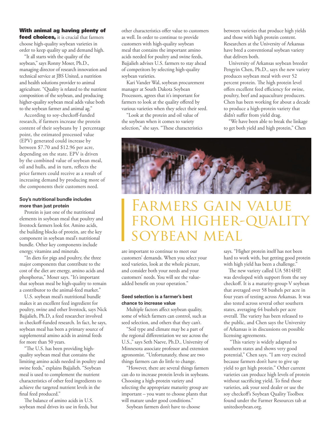#### With animal ag having plenty of

feed choices, it is crucial that farmers choose high-quality soybean varieties in order to keep quality up and demand high.

"It all starts with the quality of the soybean," says Ronny Moser, Ph.D., managing director of research innovation and technical service at JBS United, a nutrition and health solutions provider to animal agriculture. "Quality is related to the nutrient composition of the soybean, and producing higher-quality soybean meal adds value both to the soybean farmer and animal ag."

According to soy-checkoff-funded research, if farmers increase the protein content of their soybeans by 1 percentage point, the estimated processed value (EPV) generated could increase by between \$7.70 and \$12.96 per acre, depending on the state. EPV is driven by the combined value of soybean meal, oil and hulls, and in turn, reflects the price farmers could receive as a result of increasing demand by producing more of the components their customers need.

#### **Soy's nutritional bundle includes more than just protein**

Protein is just one of the nutritional elements in soybean meal that poultry and livestock farmers look for. Amino acids, the building blocks of protein, are the key component in soybean meal's nutritional bundle. Other key components include energy, vitamins and minerals.

"In diets for pigs and poultry, the three major components that contribute to the cost of the diet are energy, amino acids and phosphorus," Moser says. "It's important that soybean meal be high-quality to remain a contributor to the animal-feed market."

U.S. soybean meal's nutritional bundle makes it an excellent feed ingredient for poultry, swine and other livestock, says Nick Bajjalieh, Ph.D, a feed researcher involved in checkoff-funded research. In fact, he says, soybean meal has been a primary source of supplemental amino acids in animal feeds for more than 50 years.

"The U.S. has been providing highquality soybean meal that contains the limiting amino acids needed in poultry and swine feeds," explains Bajjalieh. "Soybean meal is used to complement the nutrient characteristics of other feed ingredients to achieve the targeted nutrient levels in the final feed produced."

The balance of amino acids in U.S. soybean meal drives its use in feeds, but other characteristics offer value to customers as well. In order to continue to provide customers with high-quality soybean meal that contains the important amino acids needed for poultry and swine feeds, Bajjalieh advises U.S. farmers to stay ahead of competitors by selecting high-quality soybean varieties.

Kari Vander Wal, soybean procurement manager at South Dakota Soybean Processors, agrees that it's important for farmers to look at the quality offered by various varieties when they select their seed.

"Look at the protein and oil value of the soybean when it comes to variety selection," she says. "These characteristics between varieties that produce high yields and those with high protein content. Researchers at the University of Arkansas have bred a conventional soybean variety that delivers both.

University of Arkansas soybean breeder Pengyin Chen, Ph.D., says the new variety produces soybean meal with over 52 percent protein. The high protein level offers excellent feed efficiency for swine, poultry, beef and aquaculture producers. Chen has been working for about a decade to produce a high-protein variety that didn't suffer from yield drag.

"We have been able to break the linkage to get both yield and high protein," Chen



# FARMERS GAIN VALU FROM HIGHER-QUALI soybean

are important to continue to meet our customers' demands. When you select your seed varieties, look at the whole picture, and consider both your needs and your customers' needs. You will see the valueadded benefit on your operation."

#### **Seed selection is a farmer's best chance to increase value**

Multiple factors affect soybean quality, some of which farmers can control, such as seed selection, and others that they can't.

"Soil type and climate may be a part of the regional differentiation we see across the U.S.," says Seth Naeve, Ph.D., University of Minnesota associate professor and extension agronomist. "Unfortunately, those are two things farmers can do little to change.

"However, there are several things farmers can do to increase protein levels in soybeans. Choosing a high-protein variety and selecting the appropriate maturity group are important – you want to choose plants that will mature under good conditions."

Soybean farmers don't have to choose

says. "Higher protein itself has not been hard to work with, but getting good protein with high yield has been a challenge."

The new variety called UA 5814HP, was developed with support from the soy checkoff. It is a maturity-group-V soybean that averaged over 58 bushels per acre in four years of testing across Arkansas. It was also tested across several other southern states, averaging 64 bushels per acre overall. The variety has been released to the public, and Chen says the University of Arkansas is in discussions on possible licensing agreements.

 "This variety is widely adapted to southern states and shows very good potential," Chen says. "I am very excited because farmers don't have to give up yield to get high protein." Other current varieties can produce high levels of protein without sacrificing yield. To find those varieties, ask your seed dealer or use the soy checkoff's Soybean Quality Toolbox found under the Farmer Resources tab at unitedsoybean.org.